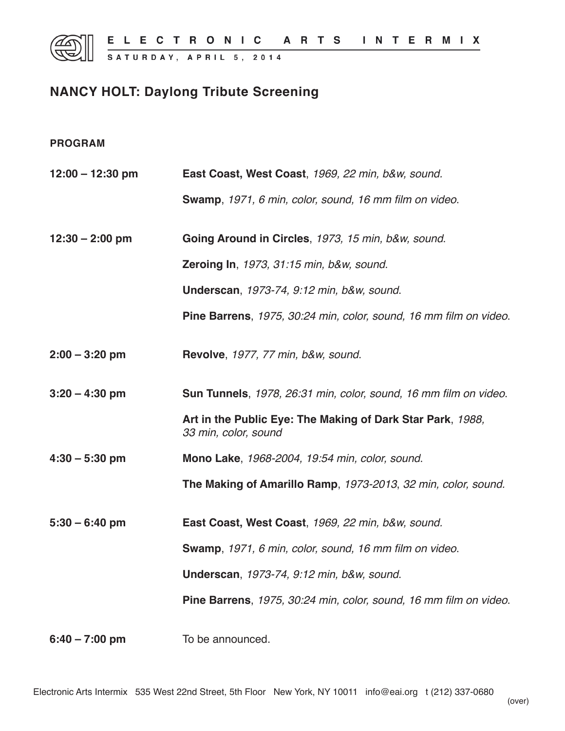# **NANCY HOLT: Daylong Tribute Screening**

# **PROGRAM**

| $12:00 - 12:30$ pm | East Coast, West Coast, 1969, 22 min, b&w, sound.                                  |
|--------------------|------------------------------------------------------------------------------------|
|                    | Swamp, 1971, 6 min, color, sound, 16 mm film on video.                             |
| $12:30 - 2:00$ pm  | Going Around in Circles, 1973, 15 min, b&w, sound.                                 |
|                    | Zeroing In, 1973, 31:15 min, b&w, sound.                                           |
|                    | <b>Underscan, 1973-74, 9:12 min, b&amp;w, sound.</b>                               |
|                    | Pine Barrens, 1975, 30:24 min, color, sound, 16 mm film on video.                  |
| $2:00 - 3:20$ pm   | Revolve, 1977, 77 min, b&w, sound.                                                 |
| $3:20 - 4:30$ pm   | Sun Tunnels, 1978, 26:31 min, color, sound, 16 mm film on video.                   |
|                    | Art in the Public Eye: The Making of Dark Star Park, 1988,<br>33 min, color, sound |
| $4:30 - 5:30$ pm   | Mono Lake, 1968-2004, 19:54 min, color, sound.                                     |
|                    | The Making of Amarillo Ramp, 1973-2013, 32 min, color, sound.                      |
| $5:30 - 6:40$ pm   | East Coast, West Coast, 1969, 22 min, b&w, sound.                                  |
|                    | Swamp, 1971, 6 min, color, sound, 16 mm film on video.                             |
|                    | <b>Underscan, 1973-74, 9:12 min, b&amp;w, sound.</b>                               |
|                    | Pine Barrens, 1975, 30:24 min, color, sound, 16 mm film on video.                  |
| $6:40 - 7:00$ pm   | To be announced.                                                                   |